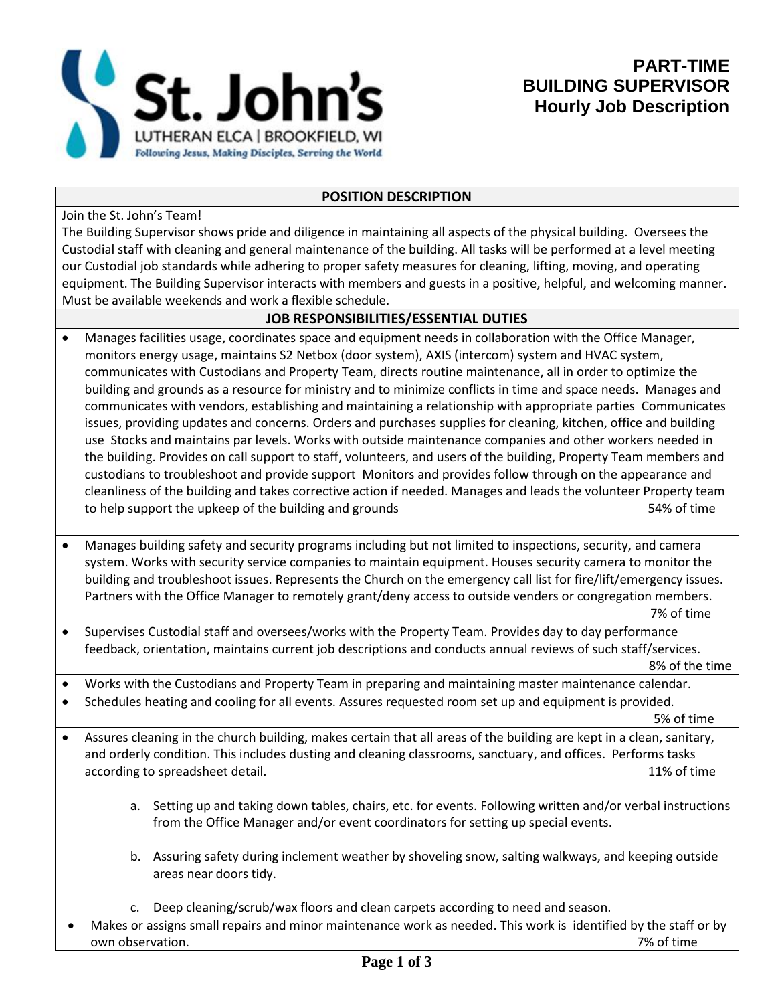

## **POSITION DESCRIPTION**

Join the St. John's Team!

The Building Supervisor shows pride and diligence in maintaining all aspects of the physical building. Oversees the Custodial staff with cleaning and general maintenance of the building. All tasks will be performed at a level meeting our Custodial job standards while adhering to proper safety measures for cleaning, lifting, moving, and operating equipment. The Building Supervisor interacts with members and guests in a positive, helpful, and welcoming manner. Must be available weekends and work a flexible schedule.

## **JOB RESPONSIBILITIES/ESSENTIAL DUTIES**

- Manages facilities usage, coordinates space and equipment needs in collaboration with the Office Manager, monitors energy usage, maintains S2 Netbox (door system), AXIS (intercom) system and HVAC system, communicates with Custodians and Property Team, directs routine maintenance, all in order to optimize the building and grounds as a resource for ministry and to minimize conflicts in time and space needs. Manages and communicates with vendors, establishing and maintaining a relationship with appropriate parties Communicates issues, providing updates and concerns. Orders and purchases supplies for cleaning, kitchen, office and building use Stocks and maintains par levels. Works with outside maintenance companies and other workers needed in the building. Provides on call support to staff, volunteers, and users of the building, Property Team members and custodians to troubleshoot and provide support Monitors and provides follow through on the appearance and cleanliness of the building and takes corrective action if needed. Manages and leads the volunteer Property team to help support the upkeep of the building and grounds The State Community of time S4% of time
- Manages building safety and security programs including but not limited to inspections, security, and camera system. Works with security service companies to maintain equipment. Houses security camera to monitor the building and troubleshoot issues. Represents the Church on the emergency call list for fire/lift/emergency issues. Partners with the Office Manager to remotely grant/deny access to outside venders or congregation members.

7% of time

• Supervises Custodial staff and oversees/works with the Property Team. Provides day to day performance feedback, orientation, maintains current job descriptions and conducts annual reviews of such staff/services.

8% of the time

- Works with the Custodians and Property Team in preparing and maintaining master maintenance calendar.
- Schedules heating and cooling for all events. Assures requested room set up and equipment is provided.

5% of time

- Assures cleaning in the church building, makes certain that all areas of the building are kept in a clean, sanitary, and orderly condition. This includes dusting and cleaning classrooms, sanctuary, and offices. Performs tasks according to spreadsheet detail. The spreadsheet detail and the spreadsheet detail.
	- a. Setting up and taking down tables, chairs, etc. for events. Following written and/or verbal instructions from the Office Manager and/or event coordinators for setting up special events.
	- b. Assuring safety during inclement weather by shoveling snow, salting walkways, and keeping outside areas near doors tidy.
	- c. Deep cleaning/scrub/wax floors and clean carpets according to need and season.
	- Makes or assigns small repairs and minor maintenance work as needed. This work is identified by the staff or by own observation. 7% of time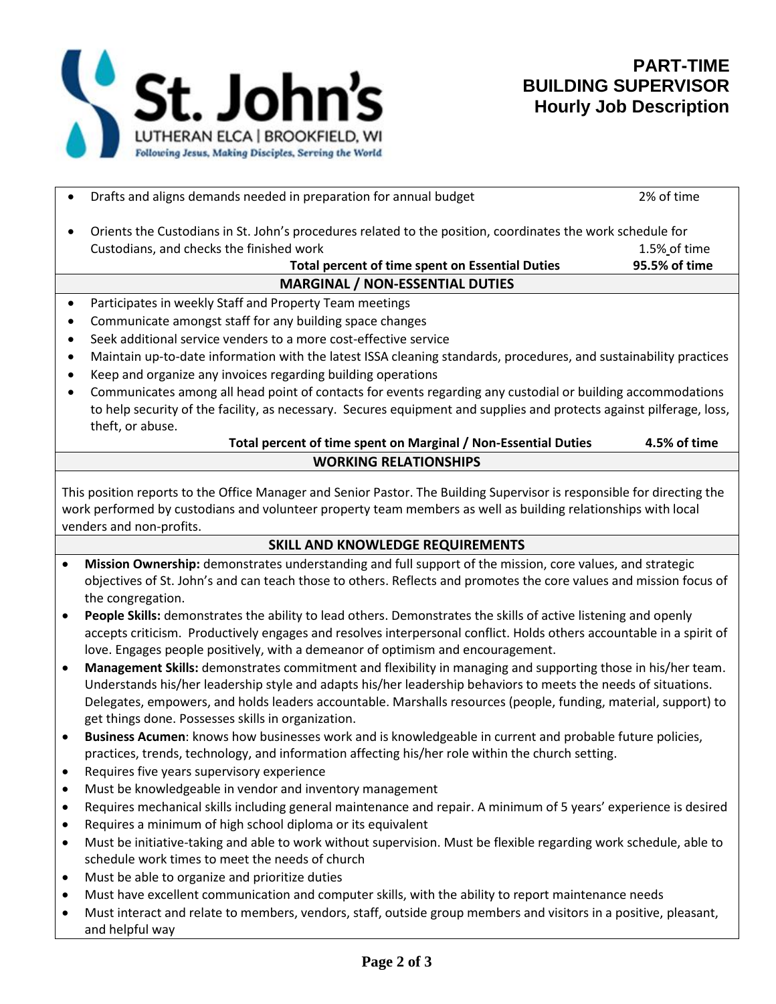

|                                                                                                                                                                                                                                                                      | Drafts and aligns demands needed in preparation for annual budget                                                                                                                                                              | 2% of time    |
|----------------------------------------------------------------------------------------------------------------------------------------------------------------------------------------------------------------------------------------------------------------------|--------------------------------------------------------------------------------------------------------------------------------------------------------------------------------------------------------------------------------|---------------|
|                                                                                                                                                                                                                                                                      | Orients the Custodians in St. John's procedures related to the position, coordinates the work schedule for<br>$\bullet$                                                                                                        |               |
|                                                                                                                                                                                                                                                                      | Custodians, and checks the finished work                                                                                                                                                                                       | 1.5% of time  |
|                                                                                                                                                                                                                                                                      | <b>Total percent of time spent on Essential Duties</b>                                                                                                                                                                         | 95.5% of time |
|                                                                                                                                                                                                                                                                      | <b>MARGINAL / NON-ESSENTIAL DUTIES</b>                                                                                                                                                                                         |               |
| Participates in weekly Staff and Property Team meetings<br>$\bullet$                                                                                                                                                                                                 |                                                                                                                                                                                                                                |               |
| $\bullet$                                                                                                                                                                                                                                                            | Communicate amongst staff for any building space changes                                                                                                                                                                       |               |
| ٠                                                                                                                                                                                                                                                                    | Seek additional service venders to a more cost-effective service                                                                                                                                                               |               |
| $\bullet$                                                                                                                                                                                                                                                            | Maintain up-to-date information with the latest ISSA cleaning standards, procedures, and sustainability practices                                                                                                              |               |
| $\bullet$                                                                                                                                                                                                                                                            | Keep and organize any invoices regarding building operations                                                                                                                                                                   |               |
| $\bullet$                                                                                                                                                                                                                                                            | Communicates among all head point of contacts for events regarding any custodial or building accommodations                                                                                                                    |               |
|                                                                                                                                                                                                                                                                      | to help security of the facility, as necessary. Secures equipment and supplies and protects against pilferage, loss,                                                                                                           |               |
|                                                                                                                                                                                                                                                                      | theft, or abuse.                                                                                                                                                                                                               |               |
|                                                                                                                                                                                                                                                                      | Total percent of time spent on Marginal / Non-Essential Duties                                                                                                                                                                 | 4.5% of time  |
| <b>WORKING RELATIONSHIPS</b>                                                                                                                                                                                                                                         |                                                                                                                                                                                                                                |               |
| This position reports to the Office Manager and Senior Pastor. The Building Supervisor is responsible for directing the<br>work performed by custodians and volunteer property team members as well as building relationships with local<br>venders and non-profits. |                                                                                                                                                                                                                                |               |
| SKILL AND KNOWLEDGE REQUIREMENTS                                                                                                                                                                                                                                     |                                                                                                                                                                                                                                |               |
| $\bullet$                                                                                                                                                                                                                                                            | Mission Ownership: demonstrates understanding and full support of the mission, core values, and strategic                                                                                                                      |               |
|                                                                                                                                                                                                                                                                      | objectives of St. John's and can teach those to others. Reflects and promotes the core values and mission focus of<br>the congregation.                                                                                        |               |
| $\bullet$                                                                                                                                                                                                                                                            | People Skills: demonstrates the ability to lead others. Demonstrates the skills of active listening and openly                                                                                                                 |               |
|                                                                                                                                                                                                                                                                      | accepts criticism. Productively engages and resolves interpersonal conflict. Holds others accountable in a spirit of                                                                                                           |               |
|                                                                                                                                                                                                                                                                      | love. Engages people positively, with a demeanor of optimism and encouragement.                                                                                                                                                |               |
| $\bullet$                                                                                                                                                                                                                                                            | Management Skills: demonstrates commitment and flexibility in managing and supporting those in his/her team.<br>Understands his/her leadership style and adapts his/her leadership behaviors to meets the needs of situations. |               |
|                                                                                                                                                                                                                                                                      | Delegates, empowers, and holds leaders accountable. Marshalls resources (people, funding, material, support) to                                                                                                                |               |
|                                                                                                                                                                                                                                                                      | get things done. Possesses skills in organization.                                                                                                                                                                             |               |
| $\bullet$                                                                                                                                                                                                                                                            | Business Acumen: knows how businesses work and is knowledgeable in current and probable future policies,                                                                                                                       |               |
|                                                                                                                                                                                                                                                                      | practices, trends, technology, and information affecting his/her role within the church setting.                                                                                                                               |               |
| ٠                                                                                                                                                                                                                                                                    | Requires five years supervisory experience                                                                                                                                                                                     |               |
| ٠                                                                                                                                                                                                                                                                    | Must be knowledgeable in vendor and inventory management                                                                                                                                                                       |               |
| $\bullet$                                                                                                                                                                                                                                                            | Requires mechanical skills including general maintenance and repair. A minimum of 5 years' experience is desired                                                                                                               |               |
| $\bullet$                                                                                                                                                                                                                                                            | Requires a minimum of high school diploma or its equivalent                                                                                                                                                                    |               |
| $\bullet$                                                                                                                                                                                                                                                            | Must be initiative-taking and able to work without supervision. Must be flexible regarding work schedule, able to                                                                                                              |               |
|                                                                                                                                                                                                                                                                      | schedule work times to meet the needs of church                                                                                                                                                                                |               |
| ٠                                                                                                                                                                                                                                                                    | Must be able to organize and prioritize duties                                                                                                                                                                                 |               |
| ٠                                                                                                                                                                                                                                                                    | Must have excellent communication and computer skills, with the ability to report maintenance needs                                                                                                                            |               |
| $\bullet$                                                                                                                                                                                                                                                            | Must interact and relate to members, vendors, staff, outside group members and visitors in a positive, pleasant,<br>and helpful way                                                                                            |               |